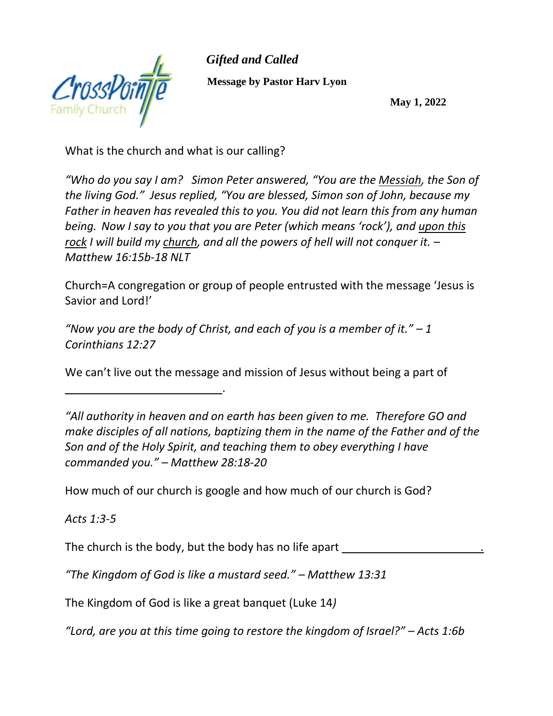

 *Gifted and Called*  **Message by Pastor Harv Lyon**

**May 1, 2022**

What is the church and what is our calling?

\_\_\_\_\_\_\_\_\_\_\_\_\_\_\_\_\_\_\_\_\_\_\_\_\_.

*"Who do you say I am? Simon Peter answered, "You are the Messiah, the Son of the living God." Jesus replied, "You are blessed, Simon son of John, because my Father in heaven has revealed this to you. You did not learn this from any human being. Now I say to you that you are Peter (which means 'rock'), and upon this rock I will build my church, and all the powers of hell will not conquer it. – Matthew 16:15b-18 NLT*

Church=A congregation or group of people entrusted with the message 'Jesus is Savior and Lord!'

*"Now you are the body of Christ, and each of you is a member of it." – 1 Corinthians 12:27* 

We can't live out the message and mission of Jesus without being a part of

*"All authority in heaven and on earth has been given to me. Therefore GO and make disciples of all nations, baptizing them in the name of the Father and of the Son and of the Holy Spirit, and teaching them to obey everything I have commanded you." – Matthew 28:18-20* 

How much of our church is google and how much of our church is God?

*Acts 1:3-5*

The church is the body, but the body has no life apart

*"The Kingdom of God is like a mustard seed." – Matthew 13:31*

The Kingdom of God is like a great banquet (Luke 14*)*

*"Lord, are you at this time going to restore the kingdom of Israel?" – Acts 1:6b*